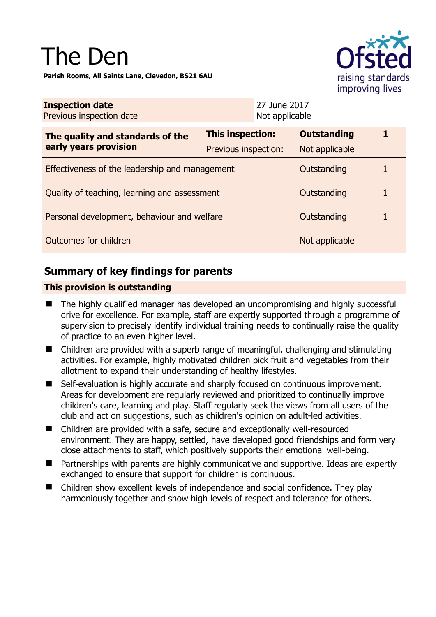# The Den

**Parish Rooms, All Saints Lane, Clevedon, BS21 6AU** 



| <b>Inspection date</b><br>Previous inspection date        | 27 June 2017<br>Not applicable |                    |   |
|-----------------------------------------------------------|--------------------------------|--------------------|---|
| The quality and standards of the<br>early years provision | <b>This inspection:</b>        | <b>Outstanding</b> | 1 |
|                                                           | Previous inspection:           | Not applicable     |   |
| Effectiveness of the leadership and management            |                                | Outstanding        | 1 |
| Quality of teaching, learning and assessment              |                                | Outstanding        | 1 |
| Personal development, behaviour and welfare               |                                | Outstanding        | 1 |
| Outcomes for children                                     |                                | Not applicable     |   |

## **Summary of key findings for parents**

## **This provision is outstanding**

- The highly qualified manager has developed an uncompromising and highly successful drive for excellence. For example, staff are expertly supported through a programme of supervision to precisely identify individual training needs to continually raise the quality of practice to an even higher level.
- Children are provided with a superb range of meaningful, challenging and stimulating activities. For example, highly motivated children pick fruit and vegetables from their allotment to expand their understanding of healthy lifestyles.
- Self-evaluation is highly accurate and sharply focused on continuous improvement. Areas for development are regularly reviewed and prioritized to continually improve children's care, learning and play. Staff regularly seek the views from all users of the club and act on suggestions, such as children's opinion on adult-led activities.
- Children are provided with a safe, secure and exceptionally well-resourced environment. They are happy, settled, have developed good friendships and form very close attachments to staff, which positively supports their emotional well-being.
- Partnerships with parents are highly communicative and supportive. Ideas are expertly exchanged to ensure that support for children is continuous.
- Children show excellent levels of independence and social confidence. They play harmoniously together and show high levels of respect and tolerance for others.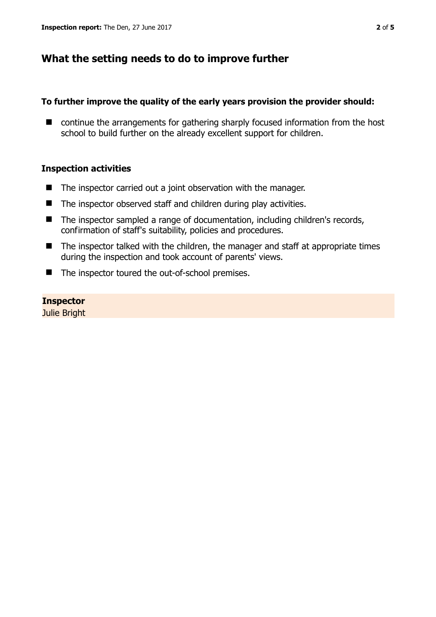## **What the setting needs to do to improve further**

### **To further improve the quality of the early years provision the provider should:**

■ continue the arrangements for gathering sharply focused information from the host school to build further on the already excellent support for children.

### **Inspection activities**

- $\blacksquare$  The inspector carried out a joint observation with the manager.
- $\blacksquare$  The inspector observed staff and children during play activities.
- The inspector sampled a range of documentation, including children's records, confirmation of staff's suitability, policies and procedures.
- $\blacksquare$  The inspector talked with the children, the manager and staff at appropriate times during the inspection and took account of parents' views.
- The inspector toured the out-of-school premises.

**Inspector**  Julie Bright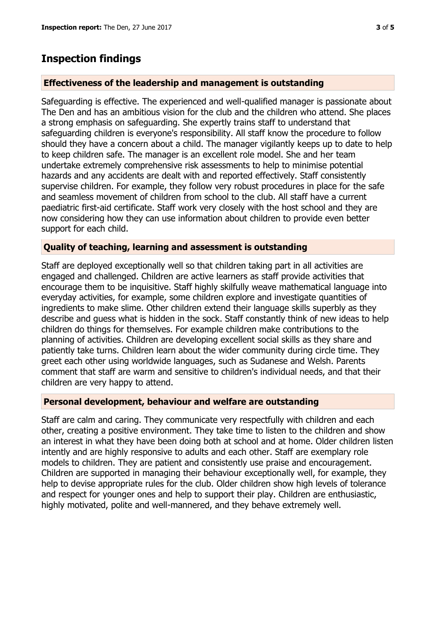## **Inspection findings**

## **Effectiveness of the leadership and management is outstanding**

Safeguarding is effective. The experienced and well-qualified manager is passionate about The Den and has an ambitious vision for the club and the children who attend. She places a strong emphasis on safeguarding. She expertly trains staff to understand that safeguarding children is everyone's responsibility. All staff know the procedure to follow should they have a concern about a child. The manager vigilantly keeps up to date to help to keep children safe. The manager is an excellent role model. She and her team undertake extremely comprehensive risk assessments to help to minimise potential hazards and any accidents are dealt with and reported effectively. Staff consistently supervise children. For example, they follow very robust procedures in place for the safe and seamless movement of children from school to the club. All staff have a current paediatric first-aid certificate. Staff work very closely with the host school and they are now considering how they can use information about children to provide even better support for each child.

## **Quality of teaching, learning and assessment is outstanding**

Staff are deployed exceptionally well so that children taking part in all activities are engaged and challenged. Children are active learners as staff provide activities that encourage them to be inquisitive. Staff highly skilfully weave mathematical language into everyday activities, for example, some children explore and investigate quantities of ingredients to make slime. Other children extend their language skills superbly as they describe and guess what is hidden in the sock. Staff constantly think of new ideas to help children do things for themselves. For example children make contributions to the planning of activities. Children are developing excellent social skills as they share and patiently take turns. Children learn about the wider community during circle time. They greet each other using worldwide languages, such as Sudanese and Welsh. Parents comment that staff are warm and sensitive to children's individual needs, and that their children are very happy to attend.

### **Personal development, behaviour and welfare are outstanding**

Staff are calm and caring. They communicate very respectfully with children and each other, creating a positive environment. They take time to listen to the children and show an interest in what they have been doing both at school and at home. Older children listen intently and are highly responsive to adults and each other. Staff are exemplary role models to children. They are patient and consistently use praise and encouragement. Children are supported in managing their behaviour exceptionally well, for example, they help to devise appropriate rules for the club. Older children show high levels of tolerance and respect for younger ones and help to support their play. Children are enthusiastic, highly motivated, polite and well-mannered, and they behave extremely well.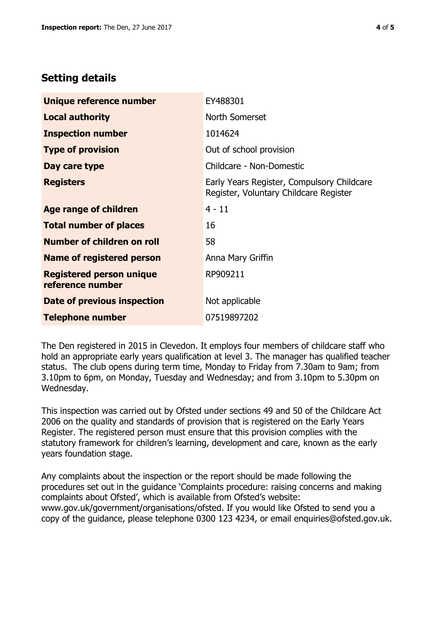# **Setting details**

| Unique reference number                             | EY488301                                                                             |  |
|-----------------------------------------------------|--------------------------------------------------------------------------------------|--|
| <b>Local authority</b>                              | North Somerset                                                                       |  |
| <b>Inspection number</b>                            | 1014624                                                                              |  |
| <b>Type of provision</b>                            | Out of school provision                                                              |  |
| Day care type                                       | Childcare - Non-Domestic                                                             |  |
| <b>Registers</b>                                    | Early Years Register, Compulsory Childcare<br>Register, Voluntary Childcare Register |  |
| <b>Age range of children</b>                        | $4 - 11$                                                                             |  |
| <b>Total number of places</b>                       | 16                                                                                   |  |
| Number of children on roll                          | 58                                                                                   |  |
| <b>Name of registered person</b>                    | Anna Mary Griffin                                                                    |  |
| <b>Registered person unique</b><br>reference number | RP909211                                                                             |  |
| Date of previous inspection                         | Not applicable                                                                       |  |
| <b>Telephone number</b>                             | 07519897202                                                                          |  |

The Den registered in 2015 in Clevedon. It employs four members of childcare staff who hold an appropriate early years qualification at level 3. The manager has qualified teacher status. The club opens during term time, Monday to Friday from 7.30am to 9am; from 3.10pm to 6pm, on Monday, Tuesday and Wednesday; and from 3.10pm to 5.30pm on Wednesday.

This inspection was carried out by Ofsted under sections 49 and 50 of the Childcare Act 2006 on the quality and standards of provision that is registered on the Early Years Register. The registered person must ensure that this provision complies with the statutory framework for children's learning, development and care, known as the early years foundation stage.

Any complaints about the inspection or the report should be made following the procedures set out in the guidance 'Complaints procedure: raising concerns and making complaints about Ofsted', which is available from Ofsted's website: www.gov.uk/government/organisations/ofsted. If you would like Ofsted to send you a copy of the guidance, please telephone 0300 123 4234, or email enquiries@ofsted.gov.uk.